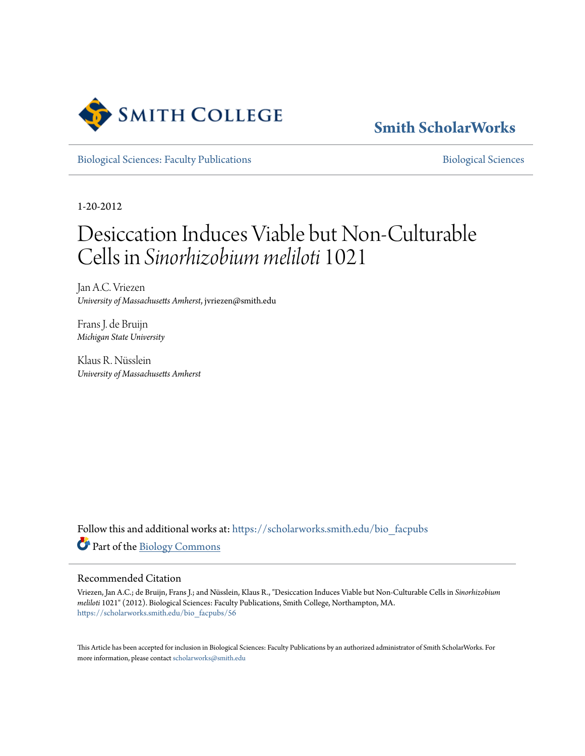

### **[Smith ScholarWorks](https://scholarworks.smith.edu/?utm_source=scholarworks.smith.edu%2Fbio_facpubs%2F56&utm_medium=PDF&utm_campaign=PDFCoverPages)**

[Biological Sciences: Faculty Publications](https://scholarworks.smith.edu/bio_facpubs?utm_source=scholarworks.smith.edu%2Fbio_facpubs%2F56&utm_medium=PDF&utm_campaign=PDFCoverPages) and [Biological Sciences](https://scholarworks.smith.edu/bio?utm_source=scholarworks.smith.edu%2Fbio_facpubs%2F56&utm_medium=PDF&utm_campaign=PDFCoverPages) Biological Sciences

1-20-2012

## Desiccation Induces Viable but Non-Culturable Cells in *Sinorhizobium meliloti* 1021

Jan A.C. Vriezen *University of Massachusetts Amherst*, jvriezen@smith.edu

Frans J. de Bruijn *Michigan State University*

Klaus R. Nüsslein *University of Massachusetts Amherst*

Follow this and additional works at: [https://scholarworks.smith.edu/bio\\_facpubs](https://scholarworks.smith.edu/bio_facpubs?utm_source=scholarworks.smith.edu%2Fbio_facpubs%2F56&utm_medium=PDF&utm_campaign=PDFCoverPages) Part of the [Biology Commons](http://network.bepress.com/hgg/discipline/41?utm_source=scholarworks.smith.edu%2Fbio_facpubs%2F56&utm_medium=PDF&utm_campaign=PDFCoverPages)

#### Recommended Citation

Vriezen, Jan A.C.; de Bruijn, Frans J.; and Nüsslein, Klaus R., "Desiccation Induces Viable but Non-Culturable Cells in *Sinorhizobium meliloti* 1021" (2012). Biological Sciences: Faculty Publications, Smith College, Northampton, MA. [https://scholarworks.smith.edu/bio\\_facpubs/56](https://scholarworks.smith.edu/bio_facpubs/56?utm_source=scholarworks.smith.edu%2Fbio_facpubs%2F56&utm_medium=PDF&utm_campaign=PDFCoverPages)

This Article has been accepted for inclusion in Biological Sciences: Faculty Publications by an authorized administrator of Smith ScholarWorks. For more information, please contact [scholarworks@smith.edu](mailto:scholarworks@smith.edu)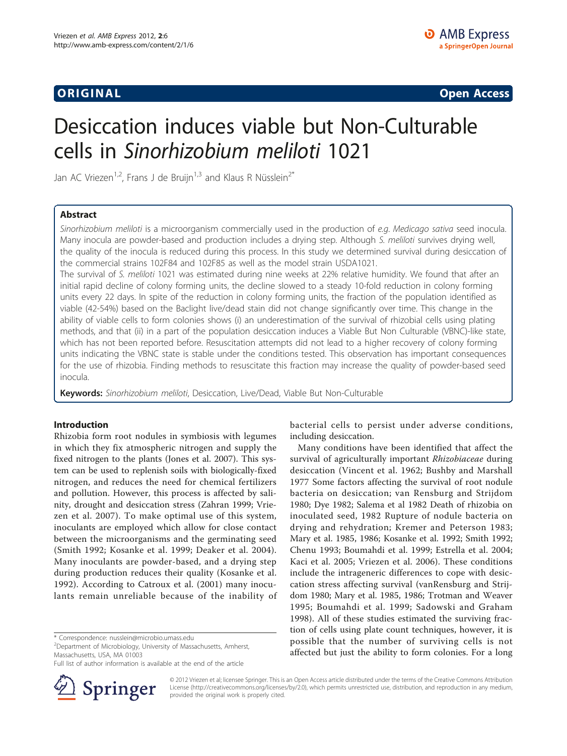ORIGINA L Open Access

# Desiccation induces viable but Non-Culturable cells in Sinorhizobium meliloti 1021

Jan AC Vriezen<sup>1,2</sup>, Frans J de Bruijn<sup>1,3</sup> and Klaus R Nüsslein<sup>2\*</sup>

#### Abstract

Sinorhizobium meliloti is a microorganism commercially used in the production of e.g. Medicago sativa seed inocula. Many inocula are powder-based and production includes a drying step. Although S. meliloti survives drying well, the quality of the inocula is reduced during this process. In this study we determined survival during desiccation of the commercial strains 102F84 and 102F85 as well as the model strain USDA1021.

The survival of S. meliloti 1021 was estimated during nine weeks at 22% relative humidity. We found that after an initial rapid decline of colony forming units, the decline slowed to a steady 10-fold reduction in colony forming units every 22 days. In spite of the reduction in colony forming units, the fraction of the population identified as viable (42-54%) based on the Baclight live/dead stain did not change significantly over time. This change in the ability of viable cells to form colonies shows (i) an underestimation of the survival of rhizobial cells using plating methods, and that (ii) in a part of the population desiccation induces a Viable But Non Culturable (VBNC)-like state, which has not been reported before. Resuscitation attempts did not lead to a higher recovery of colony forming units indicating the VBNC state is stable under the conditions tested. This observation has important consequences for the use of rhizobia. Finding methods to resuscitate this fraction may increase the quality of powder-based seed inocula.

Keywords: Sinorhizobium meliloti, Desiccation, Live/Dead, Viable But Non-Culturable

#### Introduction

Rhizobia form root nodules in symbiosis with legumes in which they fix atmospheric nitrogen and supply the fixed nitrogen to the plants ([Jones et al. 2007\)](#page-8-0). This system can be used to replenish soils with biologically-fixed nitrogen, and reduces the need for chemical fertilizers and pollution. However, this process is affected by salinity, drought and desiccation stress [\(Zahran 1999; Vrie](#page-9-0)[zen et al. 2007](#page-9-0)). To make optimal use of this system, inoculants are employed which allow for close contact between the microorganisms and the germinating seed ([Smith 1992](#page-9-0); [Kosanke et al. 1999](#page-8-0); [Deaker et al. 2004\)](#page-8-0). Many inoculants are powder-based, and a drying step during production reduces their quality [\(Kosanke et al.](#page-8-0) [1992\)](#page-8-0). According to [Catroux et al. \(2001\)](#page-8-0) many inoculants remain unreliable because of the inability of

\* Correspondence: [nusslein@microbio.umass.edu](mailto:nusslein@microbio.umass.edu)

<sup>2</sup> Department of Microbiology, University of Massachusetts, Amherst, Massachusetts, USA, MA 01003

Full list of author information is available at the end of the article



bacterial cells to persist under adverse conditions, including desiccation.

Many conditions have been identified that affect the survival of agriculturally important Rhizobiaceae during desiccation [\(Vincent et al.](#page-9-0) 1962; [Bushby and Marshall](#page-8-0) [1977](#page-8-0) Some factors affecting the survival of root nodule bacteria on desiccation; [van Rensburg and Strijdom](#page-9-0) [1980;](#page-9-0) [Dye 1982](#page-8-0); [Salema et al 1982](#page-9-0) Death of rhizobia on inoculated seed, 1982 Rupture of nodule bacteria on drying and rehydration; [Kremer and Peterson 1983](#page-8-0); [Mary et al. 1985, 1986; Kosanke et al. 1992;](#page-8-0) [Smith 1992](#page-9-0); [Chenu 1993; Boumahdi et al. 1999](#page-8-0); [Estrella et al. 2004](#page-8-0); [Kaci et al. 2005;](#page-8-0) [Vriezen et al. 2006](#page-9-0)). These conditions include the intrageneric differences to cope with desiccation stress affecting survival [\(vanRensburg and Strij](#page-9-0)[dom 1980;](#page-9-0) [Mary et al. 1985, 1986;](#page-8-0) [Trotman and Weaver](#page-9-0) [1995](#page-9-0); [Boumahdi et al. 1999;](#page-8-0) [Sadowski and Graham](#page-9-0) [1998\)](#page-9-0). All of these studies estimated the surviving fraction of cells using plate count techniques, however, it is possible that the number of surviving cells is not affected but just the ability to form colonies. For a long

© 2012 Vriezen et al; licensee Springer. This is an Open Access article distributed under the terms of the Creative Commons Attribution License [\(http://creativecommons.org/licenses/by/2.0](http://creativecommons.org/licenses/by/2.0)), which permits unrestricted use, distribution, and reproduction in any medium, provided the original work is properly cited.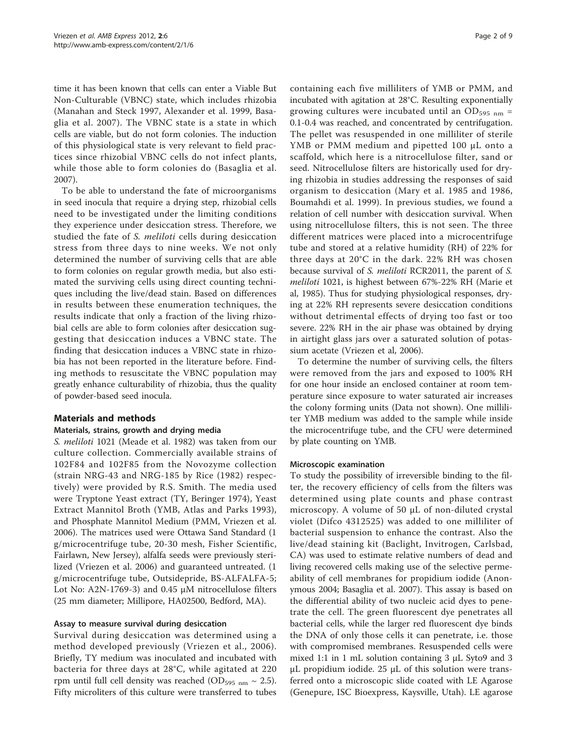time it has been known that cells can enter a Viable But Non-Culturable (VBNC) state, which includes rhizobia ([Manahan and Steck 1997, Alexander et al. 1999, Basa](#page-8-0)[glia et al. 2007\)](#page-8-0). The VBNC state is a state in which cells are viable, but do not form colonies. The induction of this physiological state is very relevant to field practices since rhizobial VBNC cells do not infect plants, while those able to form colonies do ([Basaglia et al.](#page-8-0) [2007](#page-8-0)).

To be able to understand the fate of microorganisms in seed inocula that require a drying step, rhizobial cells need to be investigated under the limiting conditions they experience under desiccation stress. Therefore, we studied the fate of S. meliloti cells during desiccation stress from three days to nine weeks. We not only determined the number of surviving cells that are able to form colonies on regular growth media, but also estimated the surviving cells using direct counting techniques including the live/dead stain. Based on differences in results between these enumeration techniques, the results indicate that only a fraction of the living rhizobial cells are able to form colonies after desiccation suggesting that desiccation induces a VBNC state. The finding that desiccation induces a VBNC state in rhizobia has not been reported in the literature before. Finding methods to resuscitate the VBNC population may greatly enhance culturability of rhizobia, thus the quality of powder-based seed inocula.

#### Materials and methods

#### Materials, strains, growth and drying media

S. meliloti 1021 ([Meade et al. 1982](#page-8-0)) was taken from our culture collection. Commercially available strains of 102F84 and 102F85 from the Novozyme collection (strain NRG-43 and NRG-185 by [Rice \(1982\)](#page-9-0) respectively) were provided by R.S. Smith. The media used were Tryptone Yeast extract (TY, [Beringer 1974](#page-8-0)), Yeast Extract Mannitol Broth (YMB, [Atlas and Parks 1993\)](#page-8-0), and Phosphate Mannitol Medium (PMM, [Vriezen et al.](#page-9-0) [2006](#page-9-0)). The matrices used were Ottawa Sand Standard (1 g/microcentrifuge tube, 20-30 mesh, Fisher Scientific, Fairlawn, New Jersey), alfalfa seeds were previously sterilized ([Vriezen et al. 2006](#page-9-0)) and guaranteed untreated. (1 g/microcentrifuge tube, Outsidepride, BS-ALFALFA-5; Lot No: A2N-1769-3) and 0.45 μM nitrocellulose filters (25 mm diameter; Millipore, HA02500, Bedford, MA).

#### Assay to measure survival during desiccation

Survival during desiccation was determined using a method developed previously ([Vriezen et al., 2006\)](#page-9-0). Briefly, TY medium was inoculated and incubated with bacteria for three days at 28°C, while agitated at 220 rpm until full cell density was reached (OD $_{595 \text{ nm}} \sim 2.5$ ). Fifty microliters of this culture were transferred to tubes

containing each five milliliters of YMB or PMM, and incubated with agitation at 28°C. Resulting exponentially growing cultures were incubated until an  $OD_{595\ nm}$  = 0.1-0.4 was reached, and concentrated by centrifugation. The pellet was resuspended in one milliliter of sterile YMB or PMM medium and pipetted 100 μL onto a scaffold, which here is a nitrocellulose filter, sand or seed. Nitrocellulose filters are historically used for drying rhizobia in studies addressing the responses of said organism to desiccation ([Mary et al. 1985](#page-8-0) and [1986](#page-8-0), [Boumahdi et al. 1999\)](#page-8-0). In previous studies, we found a relation of cell number with desiccation survival. When using nitrocellulose filters, this is not seen. The three different matrices were placed into a microcentrifuge tube and stored at a relative humidity (RH) of 22% for three days at 20°C in the dark. 22% RH was chosen because survival of S. meliloti RCR2011, the parent of S. meliloti 1021, is highest between 67%-22% RH (Marie et al, 1985). Thus for studying physiological responses, drying at 22% RH represents severe desiccation conditions without detrimental effects of drying too fast or too severe. 22% RH in the air phase was obtained by drying in airtight glass jars over a saturated solution of potassium acetate [\(Vriezen et al, 2006](#page-9-0)).

To determine the number of surviving cells, the filters were removed from the jars and exposed to 100% RH for one hour inside an enclosed container at room temperature since exposure to water saturated air increases the colony forming units (Data not shown). One milliliter YMB medium was added to the sample while inside the microcentrifuge tube, and the CFU were determined by plate counting on YMB.

#### Microscopic examination

To study the possibility of irreversible binding to the filter, the recovery efficiency of cells from the filters was determined using plate counts and phase contrast microscopy. A volume of 50 μL of non-diluted crystal violet (Difco 4312525) was added to one milliliter of bacterial suspension to enhance the contrast. Also the live/dead staining kit (Baclight, Invitrogen, Carlsbad, CA) was used to estimate relative numbers of dead and living recovered cells making use of the selective permeability of cell membranes for propidium iodide ([Anon](#page-8-0)[ymous 2004](#page-8-0); [Basaglia et al. 2007](#page-8-0)). This assay is based on the differential ability of two nucleic acid dyes to penetrate the cell. The green fluorescent dye penetrates all bacterial cells, while the larger red fluorescent dye binds the DNA of only those cells it can penetrate, i.e. those with compromised membranes. Resuspended cells were mixed 1:1 in 1 mL solution containing 3 μL Syto9 and 3 μL propidium iodide. 25 μL of this solution were transferred onto a microscopic slide coated with LE Agarose (Genepure, ISC Bioexpress, Kaysville, Utah). LE agarose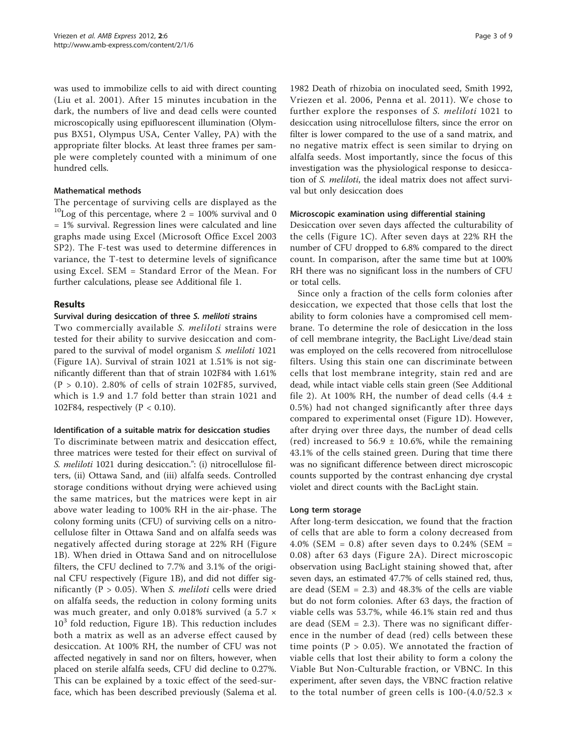was used to immobilize cells to aid with direct counting ([Liu et al. 2001](#page-8-0)). After 15 minutes incubation in the dark, the numbers of live and dead cells were counted microscopically using epifluorescent illumination (Olympus BX51, Olympus USA, Center Valley, PA) with the appropriate filter blocks. At least three frames per sample were completely counted with a minimum of one hundred cells.

#### Mathematical methods

The percentage of surviving cells are displayed as the  $^{10}$ Log of this percentage, where 2 = 100% survival and 0 = 1% survival. Regression lines were calculated and line graphs made using Excel (Microsoft Office Excel 2003 SP2). The F-test was used to determine differences in variance, the T-test to determine levels of significance using Excel. SEM = Standard Error of the Mean. For further calculations, please see Additional file [1.](#page-8-0)

#### Results

#### Survival during desiccation of three S. meliloti strains

Two commercially available S. meliloti strains were tested for their ability to survive desiccation and compared to the survival of model organism S. meliloti 1021 (Figure [1A\)](#page-4-0). Survival of strain 1021 at 1.51% is not significantly different than that of strain 102F84 with 1.61%  $(P > 0.10)$ . 2.80% of cells of strain 102F85, survived, which is 1.9 and 1.7 fold better than strain 1021 and 102F84, respectively ( $P < 0.10$ ).

#### Identification of a suitable matrix for desiccation studies

To discriminate between matrix and desiccation effect, three matrices were tested for their effect on survival of S. meliloti 1021 during desiccation.": (i) nitrocellulose filters, (ii) Ottawa Sand, and (iii) alfalfa seeds. Controlled storage conditions without drying were achieved using the same matrices, but the matrices were kept in air above water leading to 100% RH in the air-phase. The colony forming units (CFU) of surviving cells on a nitrocellulose filter in Ottawa Sand and on alfalfa seeds was negatively affected during storage at 22% RH (Figure [1B\)](#page-4-0). When dried in Ottawa Sand and on nitrocellulose filters, the CFU declined to 7.7% and 3.1% of the original CFU respectively (Figure [1B\)](#page-4-0), and did not differ significantly ( $P > 0.05$ ). When *S. meliloti* cells were dried on alfalfa seeds, the reduction in colony forming units was much greater, and only 0.018% survived (a 5.7 ×  $10<sup>3</sup>$  fold reduction, Figure [1B](#page-4-0)). This reduction includes both a matrix as well as an adverse effect caused by desiccation. At 100% RH, the number of CFU was not affected negatively in sand nor on filters, however, when placed on sterile alfalfa seeds, CFU did decline to 0.27%. This can be explained by a toxic effect of the seed-surface, which has been described previously ([Salema et al.](#page-9-0)

[1982](#page-9-0) Death of rhizobia on inoculated seed, [Smith 1992](#page-9-0), [Vriezen et al. 2006](#page-9-0), [Penna et al. 2011](#page-9-0)). We chose to further explore the responses of S. meliloti 1021 to desiccation using nitrocellulose filters, since the error on filter is lower compared to the use of a sand matrix, and no negative matrix effect is seen similar to drying on alfalfa seeds. Most importantly, since the focus of this investigation was the physiological response to desiccation of S. meliloti, the ideal matrix does not affect survival but only desiccation does

#### Microscopic examination using differential staining

Desiccation over seven days affected the culturability of the cells (Figure [1C\)](#page-4-0). After seven days at 22% RH the number of CFU dropped to 6.8% compared to the direct count. In comparison, after the same time but at 100% RH there was no significant loss in the numbers of CFU or total cells.

Since only a fraction of the cells form colonies after desiccation, we expected that those cells that lost the ability to form colonies have a compromised cell membrane. To determine the role of desiccation in the loss of cell membrane integrity, the BacLight Live/dead stain was employed on the cells recovered from nitrocellulose filters. Using this stain one can discriminate between cells that lost membrane integrity, stain red and are dead, while intact viable cells stain green (See Additional file [2](#page-8-0)). At 100% RH, the number of dead cells (4.4  $\pm$ 0.5%) had not changed significantly after three days compared to experimental onset (Figure [1D](#page-4-0)). However, after drying over three days, the number of dead cells (red) increased to 56.9  $\pm$  10.6%, while the remaining 43.1% of the cells stained green. During that time there was no significant difference between direct microscopic counts supported by the contrast enhancing dye crystal violet and direct counts with the BacLight stain.

#### Long term storage

After long-term desiccation, we found that the fraction of cells that are able to form a colony decreased from 4.0% (SEM = 0.8) after seven days to 0.24% (SEM = 0.08) after 63 days (Figure [2A](#page-5-0)). Direct microscopic observation using BacLight staining showed that, after seven days, an estimated 47.7% of cells stained red, thus, are dead (SEM = 2.3) and 48.3% of the cells are viable but do not form colonies. After 63 days, the fraction of viable cells was 53.7%, while 46.1% stain red and thus are dead (SEM  $= 2.3$ ). There was no significant difference in the number of dead (red) cells between these time points ( $P > 0.05$ ). We annotated the fraction of viable cells that lost their ability to form a colony the Viable But Non-Culturable fraction, or VBNC. In this experiment, after seven days, the VBNC fraction relative to the total number of green cells is 100-(4.0/52.3  $\times$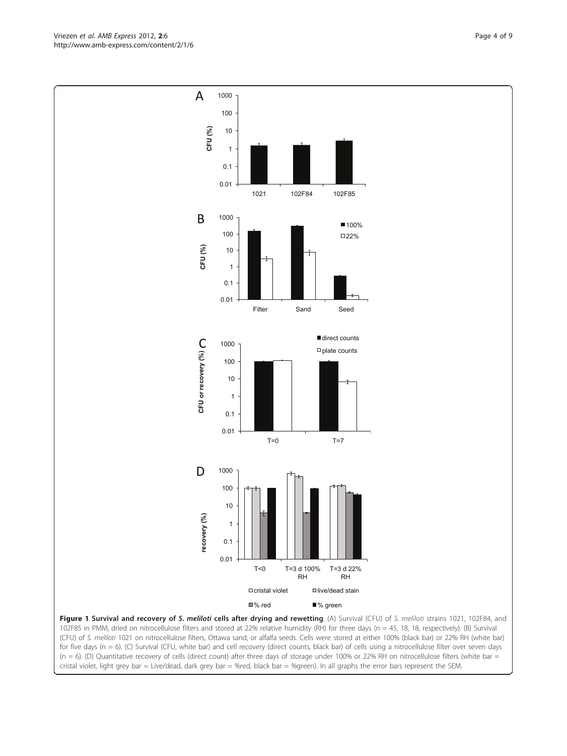Figure 1 Survival and recovery of S. meliloti cells after drying and rewetting. (A) Survival (CFU) of S. meliloti strains 1021, 102F84, and 102F85 in PMM, dried on nitrocellulose filters and stored at 22% relative humidity (RH) for three days (n = 45, 18, 18, respectively). (B) Survival (CFU) of S. meliloti 1021 on nitrocellulose filters, Ottawa sand, or alfalfa seeds. Cells were stored at either 100% (black bar) or 22% RH (white bar) for five days (n = 6). (C) Survival (CFU, white bar) and cell recovery (direct counts, black bar) of cells using a nitrocellulose filter over seven days  $(n = 6)$ . (D) Quantitative recovery of cells (direct count) after three days of storage under 100% or 22% RH on nitrocellulose filters (white bar = cristal violet, light grey bar = Live/dead, dark grey bar = %red, black bar = %green). In all graphs the error bars represent the SEM.



<span id="page-4-0"></span>Vriezen et al. AMB Express 2012, 2:6 http://www.amb-express.com/content/2/1/6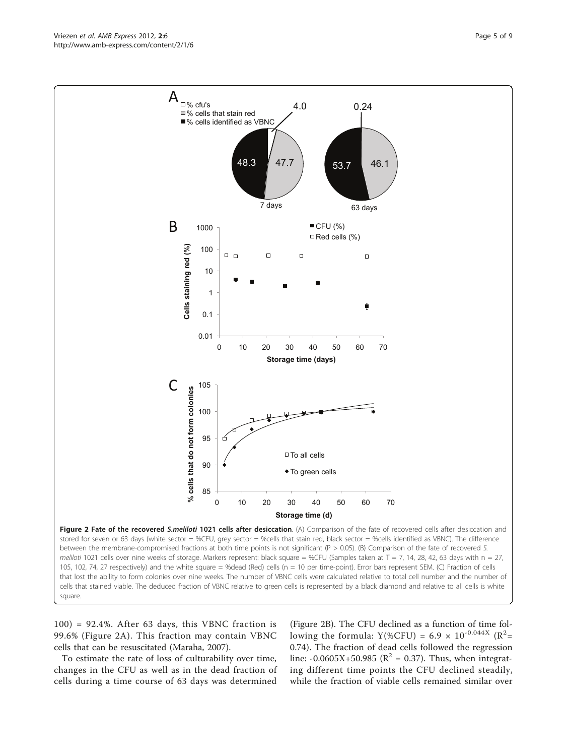$100$ ) = 92.4%. After 63 days, this VBNC fraction is 99.6% (Figure 2A). This fraction may contain VBNC cells that can be resuscitated [\(Maraha, 2007](#page-8-0)).

To estimate the rate of loss of culturability over time, changes in the CFU as well as in the dead fraction of cells during a time course of 63 days was determined

(Figure 2B). The CFU declined as a function of time following the formula: Y(%CFU) = 6.9  $\times$  10<sup>-0.044X</sup> (R<sup>2</sup>= 0.74). The fraction of dead cells followed the regression line: -0.0605X+50.985 ( $\mathbb{R}^2$  = 0.37). Thus, when integrating different time points the CFU declined steadily, while the fraction of viable cells remained similar over

Figure 2 Fate of the recovered S.meliloti 1021 cells after desiccation. (A) Comparison of the fate of recovered cells after desiccation and stored for seven or 63 days (white sector = %CFU, grey sector = %cells that stain red, black sector = %cells identified as VBNC). The difference between the membrane-compromised fractions at both time points is not significant (P > 0.05). (B) Comparison of the fate of recovered S. meliloti 1021 cells over nine weeks of storage. Markers represent: black square = %CFU (Samples taken at T = 7, 14, 28, 42, 63 days with  $n = 27$ , 105, 102, 74, 27 respectively) and the white square = %dead (Red) cells (n = 10 per time-point). Error bars represent SEM. (C) Fraction of cells that lost the ability to form colonies over nine weeks. The number of VBNC cells were calculated relative to total cell number and the number of cells that stained viable. The deduced fraction of VBNC relative to green cells is represented by a black diamond and relative to all cells is white square.

<span id="page-5-0"></span>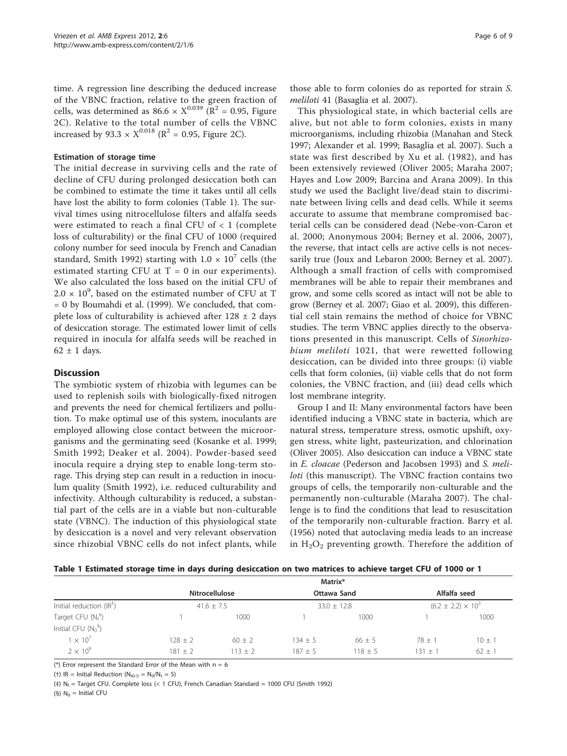<span id="page-6-0"></span>time. A regression line describing the deduced increase of the VBNC fraction, relative to the green fraction of cells, was determined as  $86.6 \times X^{0.039}$  ( $\overline{R}^2 = 0.95$ , Figure [2C\)](#page-5-0). Relative to the total number of cells the VBNC increased by 93.3  $\times$  X<sup>0.018</sup> (R<sup>2</sup> = 0.95, Figure [2C](#page-5-0)).

#### Estimation of storage time

The initial decrease in surviving cells and the rate of decline of CFU during prolonged desiccation both can be combined to estimate the time it takes until all cells have lost the ability to form colonies (Table 1). The survival times using nitrocellulose filters and alfalfa seeds were estimated to reach a final CFU of < 1 (complete loss of culturability) or the final CFU of 1000 (required colony number for seed inocula by French and Canadian standard, [Smith 1992\)](#page-9-0) starting with  $1.0 \times 10^{7}$  cells (the estimated starting CFU at  $T = 0$  in our experiments). We also calculated the loss based on the initial CFU of  $2.0 \times 10^9$ , based on the estimated number of CFU at T = 0 by [Boumahdi et al. \(1999\)](#page-8-0). We concluded, that complete loss of culturability is achieved after  $128 \pm 2$  days of desiccation storage. The estimated lower limit of cells required in inocula for alfalfa seeds will be reached in  $62 \pm 1$  days.

#### **Discussion**

The symbiotic system of rhizobia with legumes can be used to replenish soils with biologically-fixed nitrogen and prevents the need for chemical fertilizers and pollution. To make optimal use of this system, inoculants are employed allowing close contact between the microorganisms and the germinating seed [\(Kosanke et al. 1999](#page-8-0); [Smith 1992;](#page-9-0) [Deaker et al. 2004](#page-8-0)). Powder-based seed inocula require a drying step to enable long-term storage. This drying step can result in a reduction in inoculum quality ([Smith 1992](#page-9-0)), i.e. reduced culturability and infectivity. Although culturability is reduced, a substantial part of the cells are in a viable but non-culturable state (VBNC). The induction of this physiological state by desiccation is a novel and very relevant observation since rhizobial VBNC cells do not infect plants, while

those able to form colonies do as reported for strain S. meliloti 41 ([Basaglia et al. 2007](#page-8-0)).

This physiological state, in which bacterial cells are alive, but not able to form colonies, exists in many microorganisms, including rhizobia ([Manahan and Steck](#page-8-0) [1997](#page-8-0); [Alexander et al. 1999; Basaglia et al. 2007](#page-8-0)). Such a state was first described by [Xu et al. \(1982\),](#page-9-0) and has been extensively reviewed ([Oliver 2005;](#page-9-0) [Maraha 2007](#page-8-0); [Hayes and Low 2009; Barcina and Arana 2009](#page-8-0)). In this study we used the Baclight live/dead stain to discriminate between living cells and dead cells. While it seems accurate to assume that membrane compromised bacterial cells can be considered dead [\(Nebe-von-Caron et](#page-9-0) [al. 2000;](#page-9-0) [Anonymous 2004](#page-8-0); [Berney et al. 2006](#page-8-0), [2007\)](#page-8-0), the reverse, that intact cells are active cells is not necessarily true ([Joux and Lebaron 2000; Berney et al. 2007](#page-8-0)). Although a small fraction of cells with compromised membranes will be able to repair their membranes and grow, and some cells scored as intact will not be able to grow ([Berney et al. 2007; Giao et al. 2009\)](#page-8-0), this differential cell stain remains the method of choice for VBNC studies. The term VBNC applies directly to the observations presented in this manuscript. Cells of Sinorhizobium meliloti 1021, that were rewetted following desiccation, can be divided into three groups: (i) viable cells that form colonies, (ii) viable cells that do not form colonies, the VBNC fraction, and (iii) dead cells which lost membrane integrity.

Group I and II: Many environmental factors have been identified inducing a VBNC state in bacteria, which are natural stress, temperature stress, osmotic upshift, oxygen stress, white light, pasteurization, and chlorination ([Oliver 2005\)](#page-9-0). Also desiccation can induce a VBNC state in E. cloacae ([Pederson and Jacobsen 1993](#page-9-0)) and S. meliloti (this manuscript). The VBNC fraction contains two groups of cells, the temporarily non-culturable and the permanently non-culturable ([Maraha 2007\)](#page-8-0). The challenge is to find the conditions that lead to resuscitation of the temporarily non-culturable fraction. [Barry et al.](#page-8-0) [\(1956\)](#page-8-0) noted that autoclaving media leads to an increase in  $H_2O_2$  preventing growth. Therefore the addition of

|  |  | Table 1 Estimated storage time in days during desiccation on two matrices to achieve target CFU of 1000 or 1 |  |
|--|--|--------------------------------------------------------------------------------------------------------------|--|
|  |  |                                                                                                              |  |

|                                             | Matrix*                                 |           |                                |            |                                             |            |  |  |  |
|---------------------------------------------|-----------------------------------------|-----------|--------------------------------|------------|---------------------------------------------|------------|--|--|--|
|                                             | <b>Nitrocellulose</b><br>$41.6 \pm 7.5$ |           | Ottawa Sand<br>$33.0 \pm 12.8$ |            | Alfalfa seed<br>$(6.2 \pm 2.2) \times 10^3$ |            |  |  |  |
| Initial reduction $(\mathsf{IR}^{\dagger})$ |                                         |           |                                |            |                                             |            |  |  |  |
| Target CFU $(N_f^+)$                        |                                         | 1000      |                                | 1000       |                                             | 1000       |  |  |  |
| Initial CFU $(N_0^5)$                       |                                         |           |                                |            |                                             |            |  |  |  |
| $1 \times 10^{7}$                           | $128 + 2$                               | $60 + 2$  | $134 + 5$                      | $66 \pm 5$ | $78 + 1$                                    | $10 \pm 1$ |  |  |  |
| $2 \times 10^9$                             | $181 + 2$                               | $113 + 2$ | $187 + 5$                      | $118 + 5$  | $131 + 7$                                   | $62 + 1$   |  |  |  |

(\*) Error represent the Standard Error of the Mean with  $n = 6$ 

(†) IR = Initial Reduction ( $N_{t0-5} = N_0/N_t = 5$ )

(‡)  $N_f$  = Target CFU. Complete loss (< 1 CFU), French Canadian Standard = 1000 CFU ([Smith 1992](#page-9-0))

(§)  $N_0$  = Initial CFU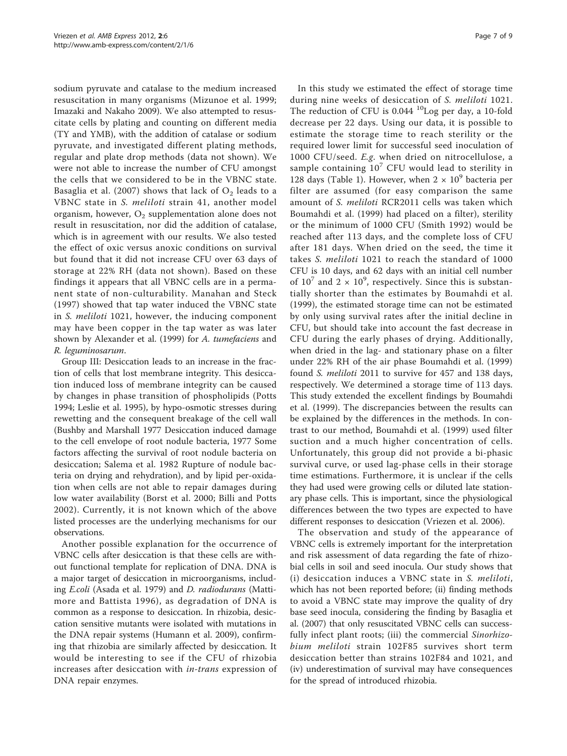sodium pyruvate and catalase to the medium increased resuscitation in many organisms ([Mizunoe et al. 1999](#page-8-0); [Imazaki and Nakaho 2009\)](#page-8-0). We also attempted to resuscitate cells by plating and counting on different media (TY and YMB), with the addition of catalase or sodium pyruvate, and investigated different plating methods, regular and plate drop methods (data not shown). We were not able to increase the number of CFU amongst the cells that we considered to be in the VBNC state. [Basaglia et al. \(2007\)](#page-8-0) shows that lack of  $O_2$  leads to a VBNC state in S. meliloti strain 41, another model organism, however,  $O_2$  supplementation alone does not result in resuscitation, nor did the addition of catalase, which is in agreement with our results. We also tested the effect of oxic versus anoxic conditions on survival but found that it did not increase CFU over 63 days of storage at 22% RH (data not shown). Based on these findings it appears that all VBNC cells are in a permanent state of non-culturability. [Manahan and Steck](#page-8-0) [\(1997\)](#page-8-0) showed that tap water induced the VBNC state in S. meliloti 1021, however, the inducing component may have been copper in the tap water as was later shown by [Alexander et al. \(1999\)](#page-8-0) for A. tumefaciens and R. leguminosarum.

Group III: Desiccation leads to an increase in the fraction of cells that lost membrane integrity. This desiccation induced loss of membrane integrity can be caused by changes in phase transition of phospholipids ([Potts](#page-9-0) [1994](#page-9-0); [Leslie et al. 1995](#page-8-0)), by hypo-osmotic stresses during rewetting and the consequent breakage of the cell wall ([Bushby and Marshall 1977](#page-8-0) Desiccation induced damage to the cell envelope of root nodule bacteria, 1977 Some factors affecting the survival of root nodule bacteria on desiccation; [Salema et al. 1982](#page-9-0) Rupture of nodule bacteria on drying and rehydration), and by lipid per-oxidation when cells are not able to repair damages during low water availability ([Borst et al. 2000](#page-8-0); [Billi and Potts](#page-8-0) [2002](#page-8-0)). Currently, it is not known which of the above listed processes are the underlying mechanisms for our observations.

Another possible explanation for the occurrence of VBNC cells after desiccation is that these cells are without functional template for replication of DNA. DNA is a major target of desiccation in microorganisms, including E.coli ([Asada et al. 1979](#page-8-0)) and D. radiodurans ([Matti](#page-8-0)[more and Battista 1996\)](#page-8-0), as degradation of DNA is common as a response to desiccation. In rhizobia, desiccation sensitive mutants were isolated with mutations in the DNA repair systems [\(Humann et al. 2009\)](#page-8-0), confirming that rhizobia are similarly affected by desiccation. It would be interesting to see if the CFU of rhizobia increases after desiccation with in-trans expression of DNA repair enzymes.

In this study we estimated the effect of storage time during nine weeks of desiccation of S. meliloti 1021. The reduction of CFU is  $0.044$  <sup>10</sup>Log per day, a 10-fold decrease per 22 days. Using our data, it is possible to estimate the storage time to reach sterility or the required lower limit for successful seed inoculation of 1000 CFU/seed. E.g. when dried on nitrocellulose, a sample containing  $10^7$  CFU would lead to sterility in 128 days (Table [1\)](#page-6-0). However, when  $2 \times 10^9$  bacteria per filter are assumed (for easy comparison the same amount of S. meliloti RCR2011 cells was taken which [Boumahdi et al. \(1999\)](#page-8-0) had placed on a filter), sterility or the minimum of 1000 CFU ([Smith 1992](#page-9-0)) would be reached after 113 days, and the complete loss of CFU after 181 days. When dried on the seed, the time it takes S. meliloti 1021 to reach the standard of 1000 CFU is 10 days, and 62 days with an initial cell number of  $10^7$  and  $2 \times 10^9$ , respectively. Since this is substantially shorter than the estimates by [Boumahdi et al.](#page-8-0) [\(1999\)](#page-8-0), the estimated storage time can not be estimated by only using survival rates after the initial decline in CFU, but should take into account the fast decrease in CFU during the early phases of drying. Additionally, when dried in the lag- and stationary phase on a filter under 22% RH of the air phase [Boumahdi et al. \(1999\)](#page-8-0) found S. meliloti 2011 to survive for 457 and 138 days, respectively. We determined a storage time of 113 days. This study extended the excellent findings by [Boumahdi](#page-8-0) [et al. \(1999\)](#page-8-0). The discrepancies between the results can be explained by the differences in the methods. In contrast to our method, [Boumahdi et al. \(1999\)](#page-8-0) used filter suction and a much higher concentration of cells. Unfortunately, this group did not provide a bi-phasic survival curve, or used lag-phase cells in their storage time estimations. Furthermore, it is unclear if the cells they had used were growing cells or diluted late stationary phase cells. This is important, since the physiological differences between the two types are expected to have different responses to desiccation ([Vriezen et al. 2006](#page-9-0)).

The observation and study of the appearance of VBNC cells is extremely important for the interpretation and risk assessment of data regarding the fate of rhizobial cells in soil and seed inocula. Our study shows that (i) desiccation induces a VBNC state in S. meliloti, which has not been reported before; (ii) finding methods to avoid a VBNC state may improve the quality of dry base seed inocula, considering the finding by [Basaglia et](#page-8-0) [al. \(2007\)](#page-8-0) that only resuscitated VBNC cells can successfully infect plant roots; (iii) the commercial *Sinorhizo*bium meliloti strain 102F85 survives short term desiccation better than strains 102F84 and 1021, and (iv) underestimation of survival may have consequences for the spread of introduced rhizobia.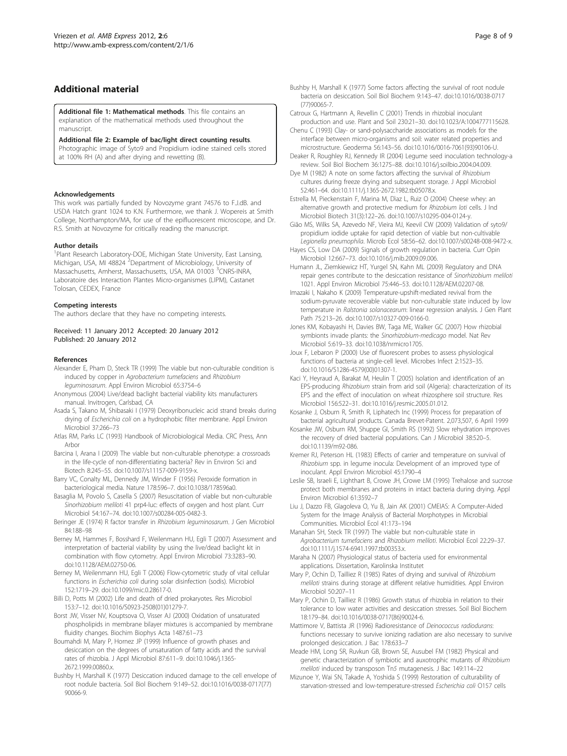#### <span id="page-8-0"></span>Additional material

[Additional file 1: M](http://www.biomedcentral.com/content/supplementary/2191-0855-2-6-S1.PDF)athematical methods. This file contains an explanation of the mathematical methods used throughout the manuscript.

#### [Additional file 2: E](http://www.biomedcentral.com/content/supplementary/2191-0855-2-6-S2.PDF)xample of bac/light direct counting results.

Photographic image of Syto9 and Propidium iodine stained cells stored at 100% RH (A) and after drying and rewetting (B).

#### Acknowledgements

This work was partially funded by Novozyme grant 74576 to F.J.dB. and USDA Hatch grant 1024 to K.N. Furthermore, we thank J. Wopereis at Smith College, Northampton/MA, for use of the epifluorescent microscope, and Dr. R.S. Smith at Novozyme for critically reading the manuscript.

#### Author details

<sup>1</sup> Plant Research Laboratory-DOE, Michigan State University, East Lansing, Michigan, USA, MI 48824<sup>2</sup> Department of Microbiology, University of Massachusetts, Amherst, Massachusetts, USA, MA 01003 <sup>3</sup>CNRS-INRA, Laboratoire des Interaction Plantes Micro-organismes (LIPM), Castanet Tolosan, CEDEX, France

#### Competing interests

The authors declare that they have no competing interests.

Received: 11 January 2012 Accepted: 20 January 2012 Published: 20 January 2012

#### References

- Alexander E, Pham D, Steck TR (1999) [The viable but non-culturable condition is](http://www.ncbi.nlm.nih.gov/pubmed/10427081?dopt=Abstract) induced by copper in [Agrobacterium tumefaciens](http://www.ncbi.nlm.nih.gov/pubmed/10427081?dopt=Abstract) and Rhizobium [leguminosarum](http://www.ncbi.nlm.nih.gov/pubmed/10427081?dopt=Abstract). Appl Environ Microbiol 65:3754–6
- Anonymous (2004) Live/dead baclight bacterial viability kits manufacturers manual. Invitrogen, Carlsbad, CA
- Asada S, Takano M, Shibasaki I (1979) [Deoxyribonucleic acid strand breaks during](http://www.ncbi.nlm.nih.gov/pubmed/373625?dopt=Abstract) drying of Escherichia coli [on a hydrophobic filter membrane.](http://www.ncbi.nlm.nih.gov/pubmed/373625?dopt=Abstract) Appl Environ Microbiol 37:266–73
- Atlas RM, Parks LC (1993) Handbook of Microbiological Media. CRC Press, Ann Arbor
- Barcina I, Arana I (2009) The viable but non-culturable phenotype: a crossroads in the life-cycle of non-differentiating bacteria? Rev in Environ Sci and Biotech 8:245–55. doi:10.1007/s11157-009-9159-x.
- Barry VC, Conalty ML, Dennedy JM, Winder F (1956[\) Peroxide formation in](http://www.ncbi.nlm.nih.gov/pubmed/13369473?dopt=Abstract) [bacteriological media.](http://www.ncbi.nlm.nih.gov/pubmed/13369473?dopt=Abstract) Nature 178:596–7. doi:10.1038/178596a0.
- Basaglia M, Povolo S, Casella S (2007) [Resuscitation of viable but non-culturable](http://www.ncbi.nlm.nih.gov/pubmed/17253091?dopt=Abstract) Sinorhizobium meliloti [41 prp4-luc: effects of oxygen and host plant.](http://www.ncbi.nlm.nih.gov/pubmed/17253091?dopt=Abstract) Curr Microbiol 54:167–74. doi:10.1007/s00284-005-0482-3.
- Beringer JE (1974) R factor transfer in [Rhizobium leguminosarum](http://www.ncbi.nlm.nih.gov/pubmed/4612098?dopt=Abstract). J Gen Microbiol 84:188–98
- Berney M, Hammes F, Bosshard F, Weilenmann HU, Egli T (2007) [Assessment and](http://www.ncbi.nlm.nih.gov/pubmed/17384309?dopt=Abstract) [interpretation of bacterial viability by using the live/dead baclight kit in](http://www.ncbi.nlm.nih.gov/pubmed/17384309?dopt=Abstract) [combination with flow cytometry.](http://www.ncbi.nlm.nih.gov/pubmed/17384309?dopt=Abstract) Appl Environ Microbiol 73:3283–90. doi:10.1128/AEM.02750-06.
- Berney M, Weilenmann HU, Egli T (2006) Flow-cytometric study of vital cellular functions in Escherichia coli during solar disinfection (sodis). Microbiol 152:1719–29. doi:10.1099/mic.0.28617-0.
- Billi D, Potts M (2002[\) Life and death of dried prokaryotes.](http://www.ncbi.nlm.nih.gov/pubmed/11881900?dopt=Abstract) Res Microbiol 153:7–12. doi:10.1016/S0923-2508(01)01279-7.
- Borst JW, Visser NV, Kouptsova O, Visser AJ (2000[\) Oxidation of unsaturated](http://www.ncbi.nlm.nih.gov/pubmed/10962288?dopt=Abstract) [phospholipids in membrane bilayer mixtures is accompanied by membrane](http://www.ncbi.nlm.nih.gov/pubmed/10962288?dopt=Abstract) [fluidity changes.](http://www.ncbi.nlm.nih.gov/pubmed/10962288?dopt=Abstract) Biochim Biophys Acta 1487:61–73
- Boumahdi M, Mary P, Hornez JP (1999) [Influence of growth phases and](http://www.ncbi.nlm.nih.gov/pubmed/10583690?dopt=Abstract) [desiccation on the degrees of unsaturation of fatty acids and the survival](http://www.ncbi.nlm.nih.gov/pubmed/10583690?dopt=Abstract) [rates of rhizobia.](http://www.ncbi.nlm.nih.gov/pubmed/10583690?dopt=Abstract) J Appl Microbiol 87:611–9. doi:10.1046/j.1365- 2672.1999.00860.x.
- Bushby H, Marshall K (1977) Desiccation induced damage to the cell envelope of root nodule bacteria. Soil Biol Biochem 9:149–52. doi:10.1016/0038-0717(77) 90066-9.

Bushby H, Marshall K (1977) Some factors affecting the survival of root nodule bacteria on desiccation. Soil Biol Biochem 9:143–47. doi:10.1016/0038-0717 (77)90065-7.

Catroux G, Hartmann A, Revellin C (2001) Trends in rhizobial inoculant production and use. Plant and Soil 230:21–30. doi:10.1023/A:1004777115628.

Chenu C (1993) Clay- or sand-polysaccharide associations as models for the interface between micro-organisms and soil: water related properties and microstructure. Geoderma 56:143–56. doi:10.1016/0016-7061(93)90106-U.

Deaker R, Roughley RJ, Kennedy IR (2004) Legume seed inoculation technology-a review. Soil Biol Biochem 36:1275–88. doi:10.1016/j.soilbio.2004.04.009.

- Dye M (1982) A note on some factors affecting the survival of Rhizobium cultures during freeze drying and subsequent storage. J Appl Microbiol 52:461–64. doi:10.1111/j.1365-2672.1982.tb05078.x.
- Estrella M, Pieckenstain F, Marina M, Dìaz L, Ruiz O (2004) Cheese whey: an alternative growth and protective medium for Rhizobium loti cells. J Ind Microbiol Biotech 31(3):122–26. doi:10.1007/s10295-004-0124-y.
- Gião MS, Wilks SA, Azevedo NF, Vieira MJ, Keevil CW (2009[\) Validation of syto9/](http://www.ncbi.nlm.nih.gov/pubmed/19043657?dopt=Abstract) propidium [iodide uptake for rapid detection of viable but non-cultivable](http://www.ncbi.nlm.nih.gov/pubmed/19043657?dopt=Abstract) [Legionella pneumophila](http://www.ncbi.nlm.nih.gov/pubmed/19043657?dopt=Abstract). Microb Ecol 58:56–62. doi:10.1007/s00248-008-9472-x.
- Hayes CS, Low DA (2009[\) Signals of growth regulation in bacteria.](http://www.ncbi.nlm.nih.gov/pubmed/19854099?dopt=Abstract) Curr Opin Microbiol 12:667–73. doi:10.1016/j.mib.2009.09.006.
- Humann JL, Ziemkiewicz HT, Yurgel SN, Kahn ML (2009) [Regulatory and DNA](http://www.ncbi.nlm.nih.gov/pubmed/19028909?dopt=Abstract) [repair genes contribute to the desiccation resistance of](http://www.ncbi.nlm.nih.gov/pubmed/19028909?dopt=Abstract) Sinorhizobium meliloti [1021.](http://www.ncbi.nlm.nih.gov/pubmed/19028909?dopt=Abstract) Appl Environ Microbiol 75:446–53. doi:10.1128/AEM.02207-08.
- Imazaki I, Nakaho K (2009) Temperature-upshift-mediated revival from the sodium-pyruvate recoverable viable but non-culturable state induced by low temperature in Ralstonia solanacearum: linear regression analysis. J Gen Plant Path 75:213–26. doi:10.1007/s10327-009-0166-0.
- Jones KM, Kobayashi H, Davies BW, Taga ME, Walker GC (2007[\) How rhizobial](http://www.ncbi.nlm.nih.gov/pubmed/17632573?dopt=Abstract) [symbionts invade plants: the](http://www.ncbi.nlm.nih.gov/pubmed/17632573?dopt=Abstract) Sinorhizobium-medicago model. Nat Rev Microbiol 5:619–33. doi:10.1038/nrmicro1705.
- Joux F, Lebaron P (2000) [Use of fluorescent probes to assess physiological](http://www.ncbi.nlm.nih.gov/pubmed/11099939?dopt=Abstract) [functions of bacteria at single-cell level.](http://www.ncbi.nlm.nih.gov/pubmed/11099939?dopt=Abstract) Microbes Infect 2:1523–35. doi:10.1016/S1286-4579(00)01307-1.
- Kaci Y, Heyraud A, Barakat M, Heulin T (2005[\) Isolation and identification of an](http://www.ncbi.nlm.nih.gov/pubmed/15862451?dopt=Abstract) EPS-producing Rhizobium [strain from arid soil \(Algeria\): characterization of its](http://www.ncbi.nlm.nih.gov/pubmed/15862451?dopt=Abstract) [EPS and the effect of inoculation on wheat rhizosphere soil structure.](http://www.ncbi.nlm.nih.gov/pubmed/15862451?dopt=Abstract) Res Microbiol 156:522–31. doi:10.1016/j.resmic.2005.01.012.
- Kosanke J, Osburn R, Smith R, Liphatech Inc (1999) Process for preparation of bacterial agricultural products. Canada Brevet-Patent. 2,073,507, 6 April 1999
- Kosanke JW, Osburn RM, Shuppe GI, Smith RS (1992[\) Slow rehydration improves](http://www.ncbi.nlm.nih.gov/pubmed/1504917?dopt=Abstract) [the recovery of dried bacterial populations.](http://www.ncbi.nlm.nih.gov/pubmed/1504917?dopt=Abstract) Can J Microbiol 38:520–5. doi:10.1139/m92-086.
- Kremer RJ, Peterson HL (1983[\) Effects of carrier and temperature on survival of](http://www.ncbi.nlm.nih.gov/pubmed/16346313?dopt=Abstract) Rhizobium [spp. in legume inocula: Development of an improved type of](http://www.ncbi.nlm.nih.gov/pubmed/16346313?dopt=Abstract) [inoculant.](http://www.ncbi.nlm.nih.gov/pubmed/16346313?dopt=Abstract) Appl Environ Microbiol 45:1790–4
- Leslie SB, Israeli E, Lighthart B, Crowe JH, Crowe LM (1995) [Trehalose and sucrose](http://www.ncbi.nlm.nih.gov/pubmed/7486995?dopt=Abstract) [protect both membranes and proteins in intact bacteria during drying.](http://www.ncbi.nlm.nih.gov/pubmed/7486995?dopt=Abstract) Appl Environ Microbiol 61:3592–7
- Liu J, Dazzo FB, Glagoleva O, Yu B, Jain AK (2001) CMEIAS: A Computer-Aided System for the Image Analysis of Bacterial Morphotypes in Microbial Communities. Microbiol Ecol 41:173–194
- Manahan SH, Steck TR (1997) The viable but non-culturable state in Agrobacterium tumefaciens and Rhizobium meliloti. Microbiol Ecol 22:29–37. doi:10.1111/j.1574-6941.1997.tb00353.x.
- Maraha N (2007) Physiological status of bacteria used for environmental applications. Dissertation, Karolinska Institutet
- Mary P, Ochin D, Tailliez R (1985[\) Rates of drying and survival of](http://www.ncbi.nlm.nih.gov/pubmed/16346846?dopt=Abstract) Rhizobium meliloti [strains during storage at different relative humidities.](http://www.ncbi.nlm.nih.gov/pubmed/16346846?dopt=Abstract) Appl Environ Microbiol 50:207–11
- Mary P, Ochin D, Tailliez R (1986) Growth status of rhizobia in relation to their tolerance to low water activities and desiccation stresses. Soil Biol Biochem 18:179–84. doi:10.1016/0038-0717(86)90024-6.
- Mattimore V, Battista JR (1996) Radioresistance of Deinococcus radiodurans: functions necessary to survive ionizing radiation are also necessary to survive prolonged desiccation. J Bac 178:633–7
- Meade HM, Long SR, Ruvkun GB, Brown SE, Ausubel FM (1982) Physical and genetic characterization of symbiotic and auxotrophic mutants of Rhizobium meliloti induced by transposon Tn5 mutagenesis. J Bac 149:114–22
- Mizunoe Y, Wai SN, Takade A, Yoshida S (1999) [Restoration of culturability of](http://www.ncbi.nlm.nih.gov/pubmed/10398754?dopt=Abstract) starvation-stressed [and low-temperature-stressed](http://www.ncbi.nlm.nih.gov/pubmed/10398754?dopt=Abstract) Escherichia coli O157 cells